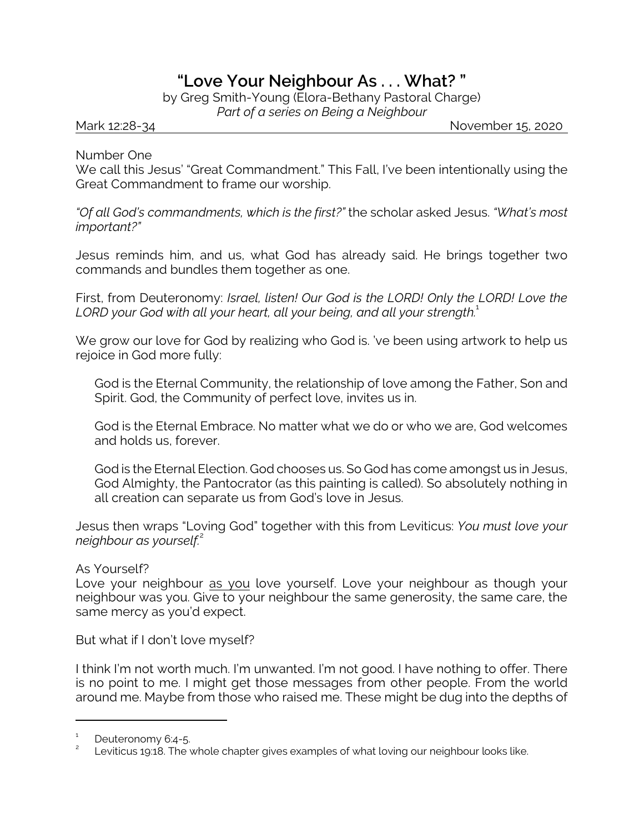## **"Love Your Neighbour As . . . What? "**

by Greg Smith-Young (Elora-Bethany Pastoral Charge) *Part of a series on Being a Neighbour*

Mark 12:28-34 November 15, 2020

Number One

We call this Jesus' "Great Commandment." This Fall, I've been intentionally using the Great Commandment to frame our worship.

*"Of all God's commandments, which is the first?"* the scholar asked Jesus. *"What's most important?"*

Jesus reminds him, and us, what God has already said. He brings together two commands and bundles them together as one.

First, from Deuteronomy: *Israel, listen! Our God is the LORD! Only the LORD! Love the* LORD your God with all your heart, all your being, and all your strength.<sup>1</sup>

We grow our love for God by realizing who God is. 've been using artwork to help us rejoice in God more fully:

God is the Eternal Community, the relationship of love among the Father, Son and Spirit. God, the Community of perfect love, invites us in.

God is the Eternal Embrace. No matter what we do or who we are, God welcomes and holds us, forever.

God is the Eternal Election. God chooses us. So God has come amongst us in Jesus, God Almighty, the Pantocrator (as this painting is called). So absolutely nothing in all creation can separate us from God's love in Jesus.

Jesus then wraps "Loving God" together with this from Leviticus: *You must love your neighbour as yourself.*<sup>2</sup>

## As Yourself?

Love your neighbour as you love yourself. Love your neighbour as though your neighbour was you. Give to your neighbour the same generosity, the same care, the same mercy as you'd expect.

But what if I don't love myself?

I think I'm not worth much. I'm unwanted. I'm not good. I have nothing to offer. There is no point to me. I might get those messages from other people. From the world around me. Maybe from those who raised me. These might be dug into the depths of

<sup>1</sup> Deuteronomy 6:4-5.

<sup>2</sup> Leviticus 19:18. The whole chapter gives examples of what loving our neighbour looks like.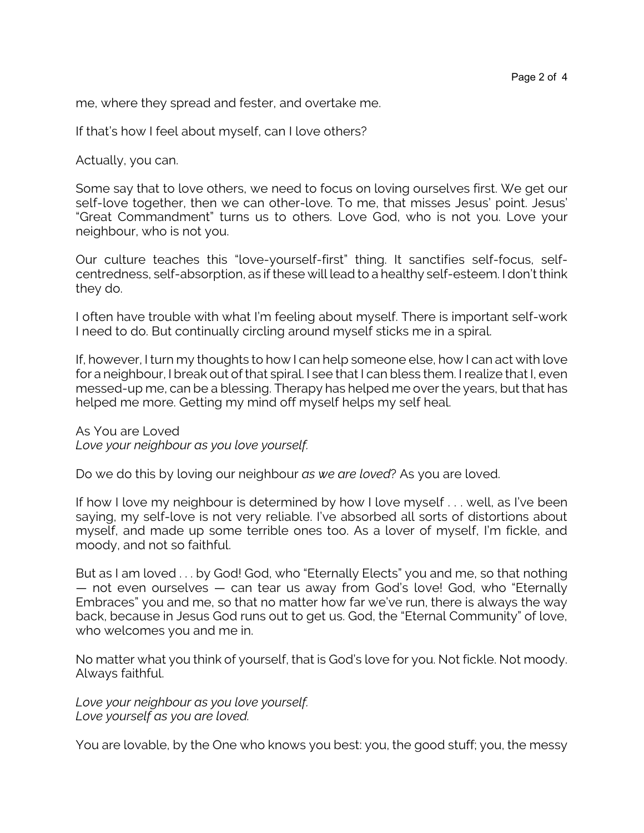me, where they spread and fester, and overtake me.

If that's how I feel about myself, can I love others?

Actually, you can.

Some say that to love others, we need to focus on loving ourselves first. We get our self-love together, then we can other-love. To me, that misses Jesus' point. Jesus' "Great Commandment" turns us to others. Love God, who is not you. Love your neighbour, who is not you.

Our culture teaches this "love-yourself-first" thing. It sanctifies self-focus, selfcentredness, self-absorption, as if these will lead to a healthy self-esteem. I don't think they do.

I often have trouble with what I'm feeling about myself. There is important self-work I need to do. But continually circling around myself sticks me in a spiral.

If, however, I turn my thoughts to how I can help someone else, how I can act with love for a neighbour, I break out of that spiral. I see that I can bless them. I realize that I, even messed-up me, can be a blessing. Therapy has helped me over the years, but that has helped me more. Getting my mind off myself helps my self heal.

As You are Loved *Love your neighbour as you love yourself.*

Do we do this by loving our neighbour *as we are loved*? As you are loved.

If how I love my neighbour is determined by how I love myself . . . well, as I've been saying, my self-love is not very reliable. I've absorbed all sorts of distortions about myself, and made up some terrible ones too. As a lover of myself, I'm fickle, and moody, and not so faithful.

But as I am loved . . . by God! God, who "Eternally Elects" you and me, so that nothing — not even ourselves — can tear us away from God's love! God, who "Eternally Embraces" you and me, so that no matter how far we've run, there is always the way back, because in Jesus God runs out to get us. God, the "Eternal Community" of love, who welcomes you and me in.

No matter what you think of yourself, that is God's love for you. Not fickle. Not moody. Always faithful.

*Love your neighbour as you love yourself. Love yourself as you are loved.*

You are lovable, by the One who knows you best: you, the good stuff; you, the messy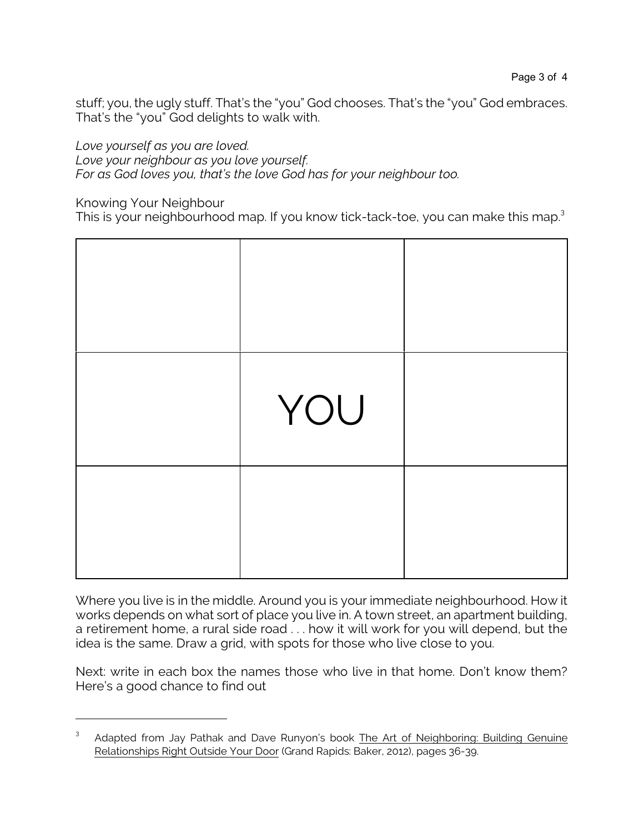stuff; you, the ugly stuff. That's the "you" God chooses. That's the "you" God embraces. That's the "you" God delights to walk with.

*Love yourself as you are loved.* 

*Love your neighbour as you love yourself.*

*For as God loves you, that's the love God has for your neighbour too.*

Knowing Your Neighbour

This is your neighbourhood map. If you know tick-tack-toe, you can make this map.<sup>3</sup>



Where you live is in the middle. Around you is your immediate neighbourhood. How it works depends on what sort of place you live in. A town street, an apartment building, a retirement home, a rural side road . . . how it will work for you will depend, but the idea is the same. Draw a grid, with spots for those who live close to you.

Next: write in each box the names those who live in that home. Don't know them? Here's a good chance to find out

<sup>3</sup> Adapted from Jay Pathak and Dave Runyon's book The Art of Neighboring: Building Genuine Relationships Right Outside Your Door (Grand Rapids: Baker, 2012), pages 36-39.